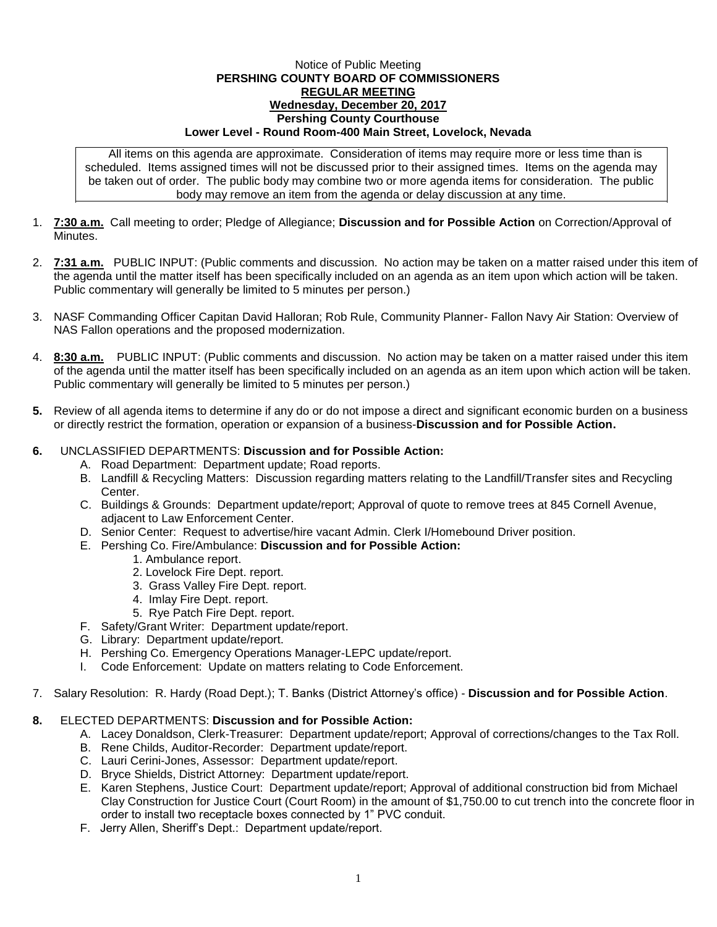## Notice of Public Meeting **PERSHING COUNTY BOARD OF COMMISSIONERS REGULAR MEETING Wednesday, December 20, 2017 Pershing County Courthouse Lower Level - Round Room-400 Main Street, Lovelock, Nevada**

All items on this agenda are approximate. Consideration of items may require more or less time than is scheduled. Items assigned times will not be discussed prior to their assigned times. Items on the agenda may be taken out of order. The public body may combine two or more agenda items for consideration. The public body may remove an item from the agenda or delay discussion at any time.

- 1. **7:30 a.m.** Call meeting to order; Pledge of Allegiance; **Discussion and for Possible Action** on Correction/Approval of **Minutes**
- 2. **7:31 a.m.** PUBLIC INPUT: (Public comments and discussion. No action may be taken on a matter raised under this item of the agenda until the matter itself has been specifically included on an agenda as an item upon which action will be taken. Public commentary will generally be limited to 5 minutes per person.)
- 3. NASF Commanding Officer Capitan David Halloran; Rob Rule, Community Planner- Fallon Navy Air Station: Overview of NAS Fallon operations and the proposed modernization.
- 4. **8:30 a.m.** PUBLIC INPUT: (Public comments and discussion. No action may be taken on a matter raised under this item of the agenda until the matter itself has been specifically included on an agenda as an item upon which action will be taken. Public commentary will generally be limited to 5 minutes per person.)
- **5.** Review of all agenda items to determine if any do or do not impose a direct and significant economic burden on a business or directly restrict the formation, operation or expansion of a business-**Discussion and for Possible Action.**

## **6.** UNCLASSIFIED DEPARTMENTS: **Discussion and for Possible Action:**

- A. Road Department: Department update; Road reports.
- B. Landfill & Recycling Matters: Discussion regarding matters relating to the Landfill/Transfer sites and Recycling Center.
- C. Buildings & Grounds: Department update/report; Approval of quote to remove trees at 845 Cornell Avenue, adjacent to Law Enforcement Center.
- D. Senior Center: Request to advertise/hire vacant Admin. Clerk I/Homebound Driver position.
- E. Pershing Co. Fire/Ambulance: **Discussion and for Possible Action:**
	- 1. Ambulance report.
	- 2. Lovelock Fire Dept. report.
	- 3. Grass Valley Fire Dept. report.
	- 4. Imlay Fire Dept. report.
	- 5. Rye Patch Fire Dept. report.
- F. Safety/Grant Writer: Department update/report.
- G. Library: Department update/report.
- H. Pershing Co. Emergency Operations Manager-LEPC update/report.
- I. Code Enforcement: Update on matters relating to Code Enforcement.
- 7. Salary Resolution: R. Hardy (Road Dept.); T. Banks (District Attorney's office) **Discussion and for Possible Action**.

## **8.** ELECTED DEPARTMENTS: **Discussion and for Possible Action:**

- A. Lacey Donaldson, Clerk-Treasurer: Department update/report; Approval of corrections/changes to the Tax Roll.
- B. Rene Childs, Auditor-Recorder: Department update/report.
- C. Lauri Cerini-Jones, Assessor: Department update/report.
- D. Bryce Shields, District Attorney: Department update/report.
- E. Karen Stephens, Justice Court: Department update/report; Approval of additional construction bid from Michael Clay Construction for Justice Court (Court Room) in the amount of \$1,750.00 to cut trench into the concrete floor in order to install two receptacle boxes connected by 1" PVC conduit.
- F. Jerry Allen, Sheriff's Dept.: Department update/report.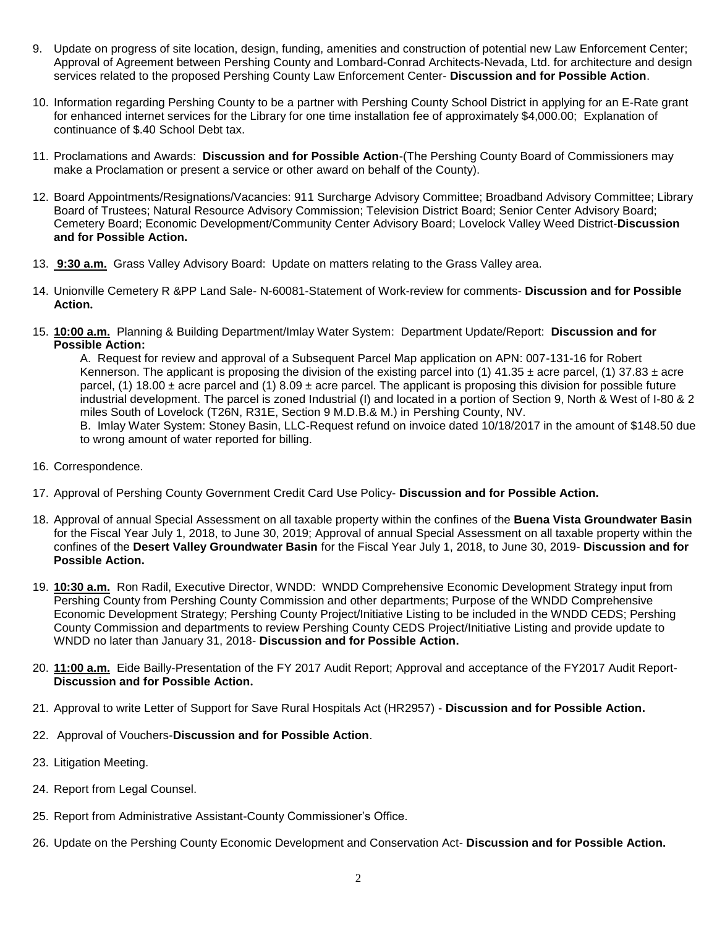- 9. Update on progress of site location, design, funding, amenities and construction of potential new Law Enforcement Center; Approval of Agreement between Pershing County and Lombard-Conrad Architects-Nevada, Ltd. for architecture and design services related to the proposed Pershing County Law Enforcement Center- **Discussion and for Possible Action**.
- 10. Information regarding Pershing County to be a partner with Pershing County School District in applying for an E-Rate grant for enhanced internet services for the Library for one time installation fee of approximately \$4,000.00; Explanation of continuance of \$.40 School Debt tax.
- 11. Proclamations and Awards: **Discussion and for Possible Action**-(The Pershing County Board of Commissioners may make a Proclamation or present a service or other award on behalf of the County).
- 12. Board Appointments/Resignations/Vacancies: 911 Surcharge Advisory Committee; Broadband Advisory Committee; Library Board of Trustees; Natural Resource Advisory Commission; Television District Board; Senior Center Advisory Board; Cemetery Board; Economic Development/Community Center Advisory Board; Lovelock Valley Weed District-**Discussion and for Possible Action.**
- 13. **9:30 a.m.** Grass Valley Advisory Board: Update on matters relating to the Grass Valley area.
- 14. Unionville Cemetery R &PP Land Sale- N-60081-Statement of Work-review for comments- **Discussion and for Possible Action.**
- 15. **10:00 a.m.** Planning & Building Department/Imlay Water System: Department Update/Report: **Discussion and for Possible Action:**

A. Request for review and approval of a Subsequent Parcel Map application on APN: 007-131-16 for Robert Kennerson. The applicant is proposing the division of the existing parcel into (1) 41.35  $\pm$  acre parcel, (1) 37.83  $\pm$  acre parcel, (1) 18.00  $\pm$  acre parcel and (1) 8.09  $\pm$  acre parcel. The applicant is proposing this division for possible future industrial development. The parcel is zoned Industrial (I) and located in a portion of Section 9, North & West of I-80 & 2 miles South of Lovelock (T26N, R31E, Section 9 M.D.B.& M.) in Pershing County, NV. B. Imlay Water System: Stoney Basin, LLC-Request refund on invoice dated 10/18/2017 in the amount of \$148.50 due to wrong amount of water reported for billing.

- 16. Correspondence.
- 17. Approval of Pershing County Government Credit Card Use Policy- **Discussion and for Possible Action.**
- 18. Approval of annual Special Assessment on all taxable property within the confines of the **Buena Vista Groundwater Basin** for the Fiscal Year July 1, 2018, to June 30, 2019; Approval of annual Special Assessment on all taxable property within the confines of the **Desert Valley Groundwater Basin** for the Fiscal Year July 1, 2018, to June 30, 2019- **Discussion and for Possible Action.**
- 19. **10:30 a.m.** Ron Radil, Executive Director, WNDD: WNDD Comprehensive Economic Development Strategy input from Pershing County from Pershing County Commission and other departments; Purpose of the WNDD Comprehensive Economic Development Strategy; Pershing County Project/Initiative Listing to be included in the WNDD CEDS; Pershing County Commission and departments to review Pershing County CEDS Project/Initiative Listing and provide update to WNDD no later than January 31, 2018- **Discussion and for Possible Action.**
- 20. **11:00 a.m.** Eide Bailly-Presentation of the FY 2017 Audit Report; Approval and acceptance of the FY2017 Audit Report-**Discussion and for Possible Action.**
- 21. Approval to write Letter of Support for Save Rural Hospitals Act (HR2957) **Discussion and for Possible Action.**
- 22. Approval of Vouchers-**Discussion and for Possible Action**.
- 23. Litigation Meeting.
- 24. Report from Legal Counsel.
- 25. Report from Administrative Assistant-County Commissioner's Office.
- 26. Update on the Pershing County Economic Development and Conservation Act- **Discussion and for Possible Action.**